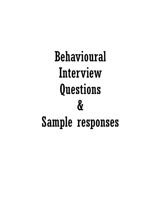Behavioural Interview Questions & Sample responses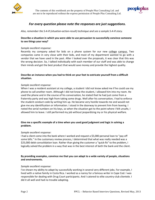



# *For every question please note the responses are just suggestions.*

*Also, remember the S-A-R (situation-action-result) technique and see a sample S-A-R story.*

## **Describe a situation in which you were able to use persuasion to successfully convince someone to see things your way?**

### *Sample excellent response:*

Recently my company asked for bids on a phone system for our new college campus. Two companies came in very close with their bids, and most of my department wanted to go with a vendor that we have used in the past. After I looked over the proposals, it was clear that this was the wrong decision. So, I talked individually with each member of our staff and was able to change their minds and get the best product that would save money and provide the highest quality.

## **Describe an instance when you had to think on your feet to extricate yourself from a difficult situation.**

### *Sample excellent response:*

When I was a resident assistant at my college, a student I did not know asked me if he could use my phone to call another room. Although I did not know the student, I allowed him into my room. He used the phone and in the course of his conversation, he stated that he had just come from a fraternity party and was high from taking some drugs. Well after his conversation, I had to enforce the student conduct code by writing him up. He became very hostile towards me and would not give me any identification or information. I stood in the doorway to prevent him from leaving. I noted the serial numbers on his keys, so when the situation got to the point where I felt unsafe, I allowed him to leave. I still performed my job without jeopardizing my or his physical welfare.

## **Give me a specific example of a time when you used good judgment and logic in solving a problem.**

#### *Sample excellent response:*

I had a client come into the bank where I worked and request a \$5,000 personal loan to "pay off some bills." In the customary review process, I determined that what was really needed was a \$25,000 debt-consolidation loan. Rather than giving the customer a "quick-fix" to the problem, I logically solved the problem in a way that was in the best interest of both the bank and the client.

## **By providing examples, convince me that you can adapt to a wide variety of people, situations and environments.**

#### *Sample excellent response:*

I've shown my ability to adapt by successfully working in several very different jobs. For example, I lived with a native family in Costa Rica. I worked as a nanny for a famous writer in Cape Cod. I was responsible for dealing with Drug Court participants. And I catered to elite country-club clientele. I did it all well and had no trouble adapting.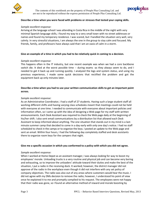



## **Describe a time when you were faced with problems or stresses that tested your coping skills.**

#### *Sample excellent response:*

Arriving at the language school I was attending in Costa Rica in the middle of the night with very minimal Spanish-language skills, I found my way to a very small town with no street addresses or names and found my temporary residence. I was scared, but I handled the situation very well, very calmly. In very stressful situations, I am always the one in the group to stay calm and focused. My friends, family, and professors have always said that I am an oasis of calm in a storm.

#### **Give an example of a time in which you had to be relatively quick in coming to a decision.**

#### *Sample excellent response:*

This happens often in the IT industry, but one recent example was when we had a core backbone switch die. It died at the worst possible time -- during exams -as they always seem to do, and I needed to get it back up and running quickly. I analyzed the logs and system status, and using my previous experience, I made some quick decisions that rectified the problem and got the equipment back up only minutes later.

## **Describe a time when you had to use your written communication skills to get an important point across.**

### *Sample excellent response:*

As an Administrative Coordinator, I had a staff of 27 students. Having such a large student staff all working different shifts and having varying class schedules meant that meetings could not be held with everyone at one time. I needed to communicate with everyone about important policies and information often, so I came up with the idea of designing a Web page for my staff with written announcements. Each Desk Assistant was required to check the Web page daily at the beginning of his/her shift. I also sent email communications by a distribution list that allowed each Desk Assistant to keep informed about anything. The one situation that stands out in my mind is a lastminute summer camp that decided to come in a day early with only one day's notice. I had no staff scheduled to check in the camps or to organize the keys. I posted an update to the Web page and sent an email. Within four hours, I had the following day completely staffed and desk assistants there to organize room keys for the campers that night.

#### **Give me a specific occasion in which you conformed to a policy with which you did not agree.**

#### *Sample excellent response:*

When I worked at Home Depot as an assistant manager, I was always looking for way to boost my employees' morale. Unloading trucks is a very routine and physical job and can become very boring and exhausting, so to improve the unloaders' attitude toward their duties and make the best of the situation, I put a radio in the receiving dock. It worked; however, the district manager did not approve of the radio in the workplace even though it did not interfere with any set policy of company objectives. The radio was also out of any areas where customers would hear the music. I did not agree with my DMs decision to remove the radio; however, I understood his point of view once he explained it to me and promptly complied to his request. The employees were not happy that their radio was gone, so I found an alternative method of reward and morale boosting by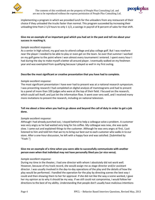



implementing a program in which we provided lunch for the unloaders from any restaurant of their choice if they unloaded the trucks faster than normal. This program succeeded by increasing their unloading time from 2 1/2 hours to only 1 1/2, a savings in payroll of 8 percent of sales for that shift.

## **Give me an example of an important goal which you had set in the past and tell me about your success in reaching it.**

## *Sample excellent response:*

As a senior in high school, my goal was to attend college and play college golf. But I was nowhere near the player I needed to be able to play or even get on the team. So over that summer I worked on my golf game to the point where I won almost every tournament I entered. I spent every hour I had during the day to make myself a better all-around player. I eventually walked on my freshmen year and was exempted from qualifying because I played so well in my first outing.

## **Describe the most significant or creative presentation that you have had to complete.**

## *Sample excellent response:*

The most significant presentation I have ever had to present was at a national research symposium. I was presenting research I had completed on digital analysis of mammograms and had to present to a panel of more than 100 judges who were at the top of their field. I focused on the research, which could sell itself, and just let the information flow. It went over very well, and I received many more invitations to present the research, including on national television.

## **Tell me about a time when you had to go above and beyond the call of duty in order to get a job done.**

## *Sample excellent response:*

Although I had already punched out, I stayed behind to help a colleague solve a problem. A customer was very angry as he had waited very long for his coffee. My colleague was new, she was quite slow. I came out and explained things to the customer. Although he was very angry at first, I just listened to him and told him that we try to bring our best out to each customer who walks in to our store. After a one-hour discussion, he left with a happy face and was satisfied. [Submitted by "Fizah."]

## **Give me an example of a time when you were able to successfully communicate with another person even when that individual may not have personally liked you (or vice versa).**

## *Sample excellent response:*

During my time in the theater, I had one director with whom I absolutely did not work well. However, because of my track record, she would assign me as stage director and/or assistant director. I was usually involved in the day-to-day operations of the play and the details of how the play would be performed. I handled the operation for the play by directing scenes the best way I could and then showing them to her for approval. If she did not like the way a scene worked, I gave her my opinion as to why it should be my way. If we still could not compromise, I would follow her directions to the best of my ability. Understanding that people don't usually have malicious intentions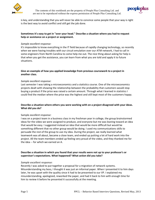



is key, and understanding that you will never be able to convince some people that your way is right is the best way to avoid conflict and still get the job done.

## **Sometimes it's easy to get in "over your head." Describe a situation where you had to request help or assistance on a project or assignment.**

#### *Sample excellent response:*

It's impossible to know everything in the IT field because of rapidly changing technology, so recently when we were having troubles with our circuit emulation over our ATM network, I had to call in some engineers from North Carolina to come help me out. The nice thing about asking for help is that when you get the assistance, you can learn from what you are told and apply it to future situations.

## **Give an example of how you applied knowledge from previous coursework to a project in another class.**

### *Sample excellent response:*

Last semester I was taking a microeconomics and a statistics course. One of the microeconomics projects dealt with showing the relationship between the probability that customers would stop buying a product if the price was raised a certain amount. Through what I learned in statistics I could find the median where the price was the highest and still kept most of the customers happy.

## **Describe a situation where others you were working with on a project disagreed with your ideas. What did you do?**

#### Sample *excellent response:*

I was on a project team in a business class in my freshman year in college, the group brainstormed ideas for the video we were assigned to produce, and everyone but me was leaning toward an idea that would be easy. I suggested instead an idea that would be more difficult but would be something different that no other group would be doing. I used my communications skills to persuade the rest of the group to use my idea. During the project, we really learned what teamwork was all about, became a close team, and ended up putting a lot of hard work into the project. All the team members ended up feeling very proud of the video, and they thanked me for the idea -- for which we earned an A.

## **Describe a situation in which you found that your results were not up to your professor's or supervisor's expectations. What happened? What action did you take?**

## *Sample excellent response:*

Recently I was asked to put together a proposal for a migration of network systems. Misunderstanding my boss, I thought it was just an informal paper. When I presented it to him days later, he was upset with the quality since it had to be presented to our VP. I explained my misunderstanding, apologized, reworked the paper, and had it back to him with enough time for him to review it before he presented it successfully at the meeting.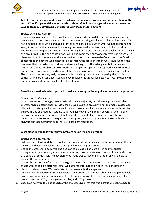



**Tell of a time when you worked with a colleague who was not completing his or her share of the work. Who, if anyone, did you tell or talk to about it? Did the manager take any steps to correct your colleague? Did you agree or disagree with the manager's actions?**

### *Sample excellent response:*

During a group project in college, we had one member who would do no work whatsoever. The project was to compare and contrast four companies in a single industry, so his work was vital. We first discussed the situation and asked for the bare-bones minimum of what we needed from him. We got just below that. As a result we as a group went to the professor and told her our situation -not expecting or requesting action -- just informing her the situation we were dealing with. Then we as a group split up the non-contributor's work, and completed our work collectively on his share. In phase two in which we analyzed the information and reported how each of our companies fared compared to the others, we did not get a paper from the group member. As a result, we told the professor that we had our work done, and were willing to do the extra paper but that we would rather spend time polishing our own work, and not picking up slack. She agreed and said to focus on the three companies we had compiled the most info on while not entirely neglecting the fourth. The papers came out very well, but were understandably weak when comparing the fourth company. The professor understood, and we received the grades we deserved. I was pleased with our teamwork and the way we handled the situation.

### **Describe a situation in which you had to arrive at a compromise or guide others to a compromise.**

### *Sample excellent response:*

My first semester in college, I was a political-science major. My introductory government class professor had a differing political view than I. We disagreed on everything, and many classes were filled with criticizing each others' view. However, on one test I answered a question with the view I believe in, and she marked it wrong. So I asked her how an opinion can be wrong, and she said because her opinion is the way she taught it in class. I pointed out that my answer showed I understood the concepts of the question. She agreed, and I also agreed not be so combative in answers on tests. Compromise is the key to problem resolution.

#### **What steps do you follow to study a problem before making a decision.**

#### *Sample excellent response:*

Following standard models for problem-solving and decision-making can be very helpful. Here are the steps and how they helped me solve a problem with a group project:

- 1. Define the problem to be solved and decision to be made. For a project in an introductory management class the assignment was to report on the corporate structure and financial situation of a couple of companies. The decision to be made was what companies to profile and how to present the information.
- 2. Gather the necessary information. Some group members wanted to report on automakers, while others wanted to do electronics firms. We gathered information on both types of company.
- 3. List all possible choices. We made lists of companies in both categories.
- 4. Consider possible outcomes for each choice. We decided that a report about car companies could have a positive outcome, but one about electronics firms might be more futuristic with high-tech products such as HDTV, video game consoles, and DVD players.
- 5. Check out how you feel about each of the choices. Given that this was a group project, we had to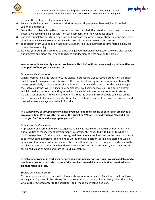



consider the feelings of all group members.

- 6. Relate the choices to your values and priorities. Again, all group members weighed in on their values and priorities.
- 7. From the possible alternatives, choose one. We decided that we'd do electronics companies because we could bring in products from each company and show what lies ahead.
- 8. Commit yourself to your chosen decision and disregard the others. Concentrate your energies in one direction. Once we made our decision, we focused all our work on electronics forms.
- 9. Take steps to turn your decision into positive action. All group members got interested in how the companies were doing.
- 10. Evaluate your progress from time to time. Change your decision if necessary. We were pleased with our progress and didn't feel a need to change our decision. We got an A on the project.

## **We can sometimes identify a small problem and fix it before it becomes a major problem. Give an example(s) of how you have done this.**

### *Sample excellent response:*

When I worked in a large retail store, the standard procedure was to leave a product on the shelf until it ran out, then place more items out. This practice obviously wasted a lot of man-hours. Of interest particularly to me were the air conditioners. Not only did I have to put the heavy thing on the shelves, but they were selling at a very high rate. So if somehow AC units ran out on a day in which I could not restock them, they would not be available to customers. As a result I started making a list of products (including the AC units) that the overnight stock people could put on the shelves. As a result, the people on duty always had a job to do, so labor hours were not wasted, and the shelves were always stocked full of product.

**In a supervisory or group leader role, have you ever had to discipline or counsel an employee or group member? What was the nature of the discipline? What steps did you take? How did that make you feel? How did you prepare yourself?**

#### *Sample excellent response:*

As president of a community-service organization, I was faced with a board member not carrying out his duties as management development vice president. I consulted with him as to what we could do together to fix the problem. We agreed that he really couldn't devote the time that it took to carry out certain projects, and he ended up resigning his position, but he also stated he would help his replacement in whatever capacity he could. It made me feel as though we had come to the conclusion together, rather than him thinking I was criticizing his performance, which was not the case. I had a plan of action and carried it out successfully.

**Recall a time from your work experience when your manager or supervisor was unavailable and a problem arose. What was the nature of the problem? How did you handle that situation? How did that make you feel?**

#### *Sample excellent response:*

My supervisor was absent once when I was in charge of a soccer game. An actual assault took place at the game. A player hit the referee. With no supervisor to turn to, I immediately called the police, who quickly restored order to the situation. I felt I made an effective decision.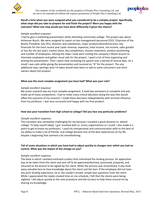



## **Recall a time when you were assigned what you considered to be a complex project. Specifically, what steps did you take to prepare for and finish the project? Were you happy with the outcome? What one step would you have done differently if given the chance?**

## *Sample excellent response:*

I had to give a marketing presentation while attending community college. The project was about Anheuser-Busch. We were assigned to report on key management personnel (CEO, Chairman of the Board, President, key VPs), divisions and subsidiaries, major products/brands/services, key financials for the most recent year (sales revenue, expenses, total income, net income, sales growth or loss for the last year), market share, key competitors, mission statement, product positioning, and number of employees. Among the steps I took were visiting the company's Miami branch to interview employees and gather visual aids for the project. I spent a lot of time organizing and writing the presentation. Then I spent time reviewing my speech over a period of several days. As a result I was calm while giving the presentation and received an "A" for the project. The one additional step I perhaps wish I'd taken would have been to talk to some consumers and store owners about the product.

### **What was the most complex assignment you have had? What was your role?**

### *Sample excellent response:*

My senior research was my most complex assignment. It took two semesters to complete and was made up of many components. I had to make many critical decisions along the way that would affect the outcome of my research. I made these decisions independently with minimal influence from my professor. I was very successful and happy with my final product.

## **How was your transition from high school to college? Did you face any particular problems?**

## *Sample excellent response:*

The transition was somewhat challenging for me because I traveled a great distance to attend college. *To* help myself adapt, I got involved with as many organizations as I could. I also made it a point to get to know my professors. I used my interpersonal and communication skills to the best of my ability to make a lot of friends, and college became one of the best experiences of my life despite a beginning that seemed a bit overwhelming.

## **Tell of some situations in which you have had to adjust quickly to changes over which you had no control. What was the impact of the change on you?**

## *Sample excellent response:*

The bank in which I worked instituted a policy that centralized the lending process. An application was to be taken from the client and sent off to be approved/declined, processed, prepared, and returned to the branch to be signed by the client. While the process was streamlined, it also took away valuable face-to-face knowledge about the client and the loan. If the employee did not have any prior lending experience, he or she couldn't answer simple loan questions from the client. While I appreciated the newly created time on my schedule, I felt that the clients were being slighted. I did adjust quickly to the new procedure and did my best to help those around me by sharing my knowledge.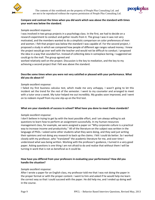



## **Compare and contrast the times when you did work which was above the standard with times your work was below the standard.**

### *Sample excellent response:*

I was involved in two group projects in a psychology class. In the first, we had to decide on a research experiment to conduct and gather results from it. The group I was in was not very motivated, and the members wanted to do a simplistic comparison on color preferences of men and women. I felt that project was below the standard I was capable of. For the second project, I proposed a study in which we compared how people of different age ranges valued money. I knew the project would go over well with the teacher and would not be difficult to conduct. I proposed the idea in a way that sounded fun. Instead of collecting data in someplace boring, I suggested we could go to the mall. The group agreed and

worked relatively well on the project. Discussion is the key to mediation, and the key to my achieving a second project that I felt was above the standard.

## **Describe some times when you were not very satisfied or pleased with your performance. What did you do about it?**

### *Sample excellent response:*

I failed my first business calculus test, which made me very unhappy. I wasn't going to let this incident set the trend for the rest of the semester. I went to my counselor and arranged to meet with a tutor once a week. My tutor helped me out incredibly. My grades soon improved, and I went on to redeem myself from my one slip-up on the first test.

#### **What are your standards of success in school? What have you done to meet these standards?**

#### *Sample excellent response:*

I don't believe in trying to get by with the least possible effort, and I am always willing to ask questions to learn how to perform an assignment successfully. In my human-resources management class, for example, we were assigned a paper on "Why corporate culture is a practical way to increase income and productivity." All of the literature on the subject was written in the language of PhDs. I asked some other students what they were doing, and they said just writing their opinions and not doing any research to back up the claims. I felt I could do better. So I worked closely with my professor, who "translated" the academic literature for me, and over time I understood what was being written. Working with the professor's guidance, I turned in a very good paper. Asking questions is one thing I am not afraid to do and realize that without them I will be turning in work that is not as beneficial as it could be.

## **How have you differed from your professors in evaluating your performance? How did you handle the situation?**

## *Sample excellent response:*

After I wrote a paper for an English class, my professor told me that I was not doing the paper in the proper format or with the proper content. I went to him and asked if he would help me learn the correct way so that I could succeed with the paper. He did help me, and I ended up doing well in the course.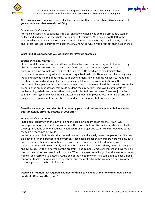



## **Give examples of your experiences at school or in a job that were satisfying. Give examples of your experiences that were dissatisfying.**

### *Sample excellent response:*

I turned a dissatisfying experience into a satisfying one when I was on the crosscountry team in college and had never run the whole race in under 30 minutes. With only a month left in the season, I decided that I would run the race in 25 minutes. I ran every day to build up my stamina, and in that last race I achieved my goal time of 25 minutes, which was a very satisfying experience.

### **What kind of supervisor do you work best for? Provide examples.**

### *Sample excellent response:*

I like to work for a supervisor who allows me the autonomy to perform my job to the best of my abilities. I also like constructive criticism and feedback so I can improve myself and the organization. One example was my boss at a university. He hired me as an administrative coordinator because of my administrative and organizational skills. He knew that I had many new ideas and allowed me the opportunity to implement many new programs. Of course, I kept him constantly informed and sought advice when needed. I improved communications in the department by implementing a departmental Web page. I also streamlined the check-in process by preparing the amount of work that could be done the day before. I improved staff morale by implementing a desk-assistant-of-the-month, which led to lower turnover. These are just a few examples. I was given the Recognizing Outstanding Student Employees Award for my efforts and unique ideas. I gained not only my boss's confidence and support but his respect as well.

## **Describe some projects or ideas (not necessarily your own) that were implemented, or carried out successfully primarily because of your efforts.**

#### *Sample excellent response:*

I had been recently given the duty of being the head swim team coach for the YMCA I was employed with. A swim meet was just around the corner, but only five swimmers had enrolled for the program, none of whom had ever been a part of an organized team. Funding would be cut for the team if more interest could

not be generated. So I decided that I would take action and actively recruit people to join. Not only did I have to run the practices and correct any technical mistakes the swimmers were making, but I had to contact other local swim teams to invite then to join the meet. I had to meet with the parents and the children separately and organize a way to help pay for t-shirts, swimsuits, goggles, and swim caps. By the third week of the program, I had gained 15 more swimmers and every single one had beat his or her own time in practice. When the meet came, I organized the events, ordered ribbons, and recruited volunteers. At the end of the meet, my team had come in first place among four other teams. The parents were delighted, and the profits from the swim team had skyrocketed to the approval of the board of directors.

## **Describe a situation that required a number of things to be done at the same time. How did you handle it? What was the result?**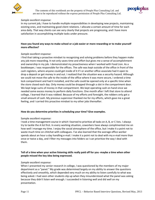



### *Sample excellent response:*

In my current job, I have to handle multiple responsibilities in developing new projects, maintaining existing ones, and maintaining good client relations. I allocate a certain amount of time for each area daily. That way clients can see very clearly that projects are progressing, and I have more satisfaction in accomplishing multiple tasks under pressure.

## **Have you found any ways to make school or a job easier or more rewarding or to make yourself more effective?**

## *Sample excellent response:*

I find that taking a proactive mindset to recognizing and solving problems before they happen make any job more rewarding. It not only saves time and effort but gives me a sense of accomplishment and ownership in my job. I demonstrated my proactiveness when I worked with Food Lion. As a bookkeeper, I was responsible for the offices. The safe was kept outside of the office in front of the cash registers, where anyone could get inside of it if I or another office associate had it open to drop a deposit or get money in and out. I realized that the situation was a security hazard. Although we could not move the safe to the inside of the office where it was more secure, I ordered a time lock compartment and had it installed, and the safe could be opened only at a specific time when the store closed each day. Only money could be dropped through a slot in the compartment door. We kept large sums of money in that compartment. We kept operating cash on hand since we needed some excess money to perform daily functions. One month after I left that store to attend college, I learned that it was robbed. Because of my efforts and foresight, the robbers only got a small amount of cash. My previous supervisor thanked me for my efforts, which gave me a great feeling, and I carried this proactive mindset to my other jobs thereafter.

## **How do you determine priorities in scheduling your time? Give examples.**

#### Sample *excellent response:*

I took a time-management course in which I learned to prioritize all tasks on A, B, or C lists. I always try to tackle the A list first. In every working situation, coworkers have always complimented me on how well I manage my time. I enjoy the social atmosphere of the office, but I make it a point not to waste much time on chitchat with colleagues. I've also learned that the average office worker spends about an hour a day handling e-mail. I make it a point not to deal with my e-mail more than once or twice a day, and I filter my messages into folders so I can prioritize the way I deal with them.

## **Tell of a time when your active listening skills really paid off for you -maybe a time when other people missed the key idea being expressed.**

## *Sample excellent response:*

When I presented my senior research in college, I was questioned by the members of my major department as a "panel." My grade was determined largely on my ability to answer the questions effectively and smoothly, which depended very much on my ability to listen carefully to what was being asked. I had seen other students slip up when they misunderstood what the panel was asking because they didn't listen well enough. I succeeded in listening well and did well on my presentation.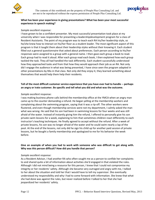



## **What has been your experience in giving presentations? What has been your most successful experience in speech making?**

### *Sample excellent response:*

I have grown to be a confident presenter. My most successful presentation took place at my university when I was responsible for presenting a leadershipdevelopment program for a class of Resident Assistants. The point of my program was to teach each RA his/her leadership style, so he/she knew how to interact on his/her floor as a student leader. The most significant aspect of this program is that it taught them about their leadership styles without their knowing it. Each student filled out a general questionnaire that asked about preferences. Each person according to his/her responses were assigned to a group with a general name. I then gave each group a book to read. Each group had to read it aloud. After each group read each book, I then explained how each group tackled the task. They all had handled the task differently. Each student successfully understood how they approached tasks and from that how they would approach their job as an RA. Not only did I engage the audience in what was being presented, I have since seen the program adapted in other presentations by RAs in that class. Not only did they enjoy it, they learned something about themselves that would help them help their residents.

## **Tell of the most difficult customer service experience that you have ever had to handle -- perhaps an angry or irate customer. Be specific and tell what you did and what was the outcome.**

### *Sample excellent* response:

I was making business phone calls behind the membership office at the YMCA when an angry man came up to the counter demanding a refund. He began yelling at the membership workers and complaining about the swimming program, saying that it was a rip-off. The other workers were flustered, and even though membership services were not my department, I calmly asked the man what was wrong. He said that his son had been in swimming lessons for four weeks and was still afraid of the water. Instead of instantly giving him the refund, I offered to personally give his son private swim lessons for a week, explaining to him that sometimes children react differently to each instructor's teaching techniques. He finally agreed to accept without the refund. After a week of private lessons, his son was no longer afraid of the water and he could swim nearly a lap of the pool. At the end of the lessons, not only did he sign his child up for another paid session of private lessons, but he bought a family membership and apologized to me for his behavior the week before.

## **Give an example of when you had to work with someone who was difficult to get along with. Why was this person difficult? How did you handle that person?**

## *Sample excellent response:*

As a Resident Advisor, I had another RA who often sought me as a person to confide her complaints to and shared quite a bit of information about activities she'd engaged in that violated the rules. Although I did not mind being a resource for this person, I knew that I could not compromise my integrity or her residents' safety. Although she became very outraged and angry with me, I talked to her about the situation and told her that I would have to tell my supervisor. She eventually understood my responsibility and why I had to come forward with information. She knew that what she had done was against the rules, but never realized before I talked to her that she had jeopardized her residents' safety.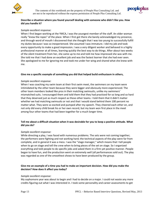



## **Describe a situation where you found yourself dealing with someone who didn't like you. How did you handle it?**

## *Sample excellent response:*

When I first began working at the YMCA, I was the youngest member of the staff. An older woman really "knew the ropes" of the place. When I first got there she barely acknowledged my presence, and through word of mouth I discovered that she thought that I was too young to successfully fulfill my duties because I was so inexperienced. She assumed I was immature. I did my job and took every opportunity to make a good impression. I was a very diligent worker and behaved in a highly professional manner at all times, learning quickly the best way to do things. After about two weeks of the silent treatment from her, she came up to me and told me how impressed she was with me. She told me that I had done an excellent job and was the fastest learner that she had ever seen. She apologized to me for ignoring me and took me under her wing and shared what she knew with me.

## **Give me a specific example of something you did that helped build enthusiasm in others,**

## *Sample excellent response:*

When I was coaching my swim team at their first swim meet, the swimmers on my team were intimidated by the other team because they were bigger and obviously more experienced. The other team members looked like pros in their matching swimsuits, unlike my swimmers' mismatched suits. I encouraged them and told them that they had practiced for so long and so hard that they deserved just as much respect as those other teams. I told them that it didn't matter whether we had matching swimsuits or not and that I would stand behind them 100 percent no matter what. They were so excited and pumped after my speech. They cheered each other on, and not only did every child break his or her own record, but my team won first place in the meet among four other teams that had been together for a much longer time.

## **Tell me about a difficult situation when it was desirable for you to keep a positive attitude. What did you do?**

## *Sample excellent response:*

While directing a play, I was faced with numerous problems. The sets were not coming together; the performers were fighting and not working hard; the technical aspects of the play were far from complete, and in general it was a mess. I was the "stage manager," which means that I tell people when to go on stage and tell the crew when to bring pieces of the set on stage. So I organized everything and told people to do specific jobs and asked them in a firm yet positive manner. People began to have fun, and the production went on extremely well (all performances sold out). The play was regarded as one of the smoothest shows to have been produced by the group.

## **Give me an example of a time you had to make an important decision. How did you make the decision? How does it affect you today?**

## *Sample excellent response:*

My sophomore year was about to begin and I had to decide on a major. I could not waste any more credits figuring out what I was interested in. I took some personality and career assessments to get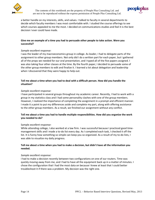



a better handle on my interests, skills, and values. I talked to faculty in several departments to decide which faculty members I was most comfortable with. I studied the course offerings to see which courses appealed to me the most. I decided on communications studies and feel it is the best decision I ever could have made.

## **Give me an example of a time you had to persuade other people to take action. Were you successful?**

## *Sample excellent response:*

I was the leader of my macroeconomics group in college. As leader, I had to delegate parts of the assignment to other group members. Not only did I do a written part for each paper, but I gathered all of the props we needed for our oral presentation, and I typed all of the five papers assigned. I was also taking four other classes at the time. By the fourth paper, I decided to persuade some of the other group members to edit and finalize it. I learned a lot about delegation and leadership when I discovered that they were happy to help out.

## **Tell me about a time when you had to deal with a difficult person. How did you handle the situation?**

### *Sample excellent response:*

I have participated in several groups throughout my academic career. Recently, I had to work with a group in my statistics class and I had some personality clashes with one of the group members. However, I realized the importance of completing the assignment in a prompt and efficient manner. I made it a point to put my differences aside and complete my part, along with offering assistance to the other group members. As a result, we finished our assignment without any conflict.

## **Tell me about a time you had to handle multiple responsibilities. How did you organize the work you needed to do?**

#### Sample *excellent response:*

While attending college, I also worked at a law firm. I was successful because I practiced good timemanagement skills and I made a to-do list every day. As I completed each task, I checked it off the list. It is funny how something so simple can keep you so organized. As a result of my to-do lists, I was able to visualize my daily progress.

## **Tell me about a time when you had to make a decision, but didn't have all the information you needed.**

#### *Sample excellent response:*

I had to make a decision recently between two configurations on one of our routers. Time was quickly moving away from me, and I had to have all the equipment back up in a matter of minutes. I chose the configuration that I had the most data on because I knew at least that I could better troubleshoot it if there was a problem. My decision was the right one.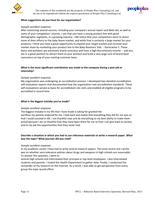



## **What suggestions do you have for our organization?**

#### *Sample excellent response:*

After examining several sources, including your company's annual report and Web site, as well as some of your competitors' sources, I see that you have a strong product line with good demographic segments, in a growing industry. I did notice that your competitors seem to direct more of their efforts to the baby boom market, and while that is certainly a large market for your products, I think you have a great opportunity to expand your target market and increase your market share by marketing your product line to the Baby Boomers' kids -- Generation Y. These teens and preteens are extremely brand conscious and have a high discretionary income -- and you are in a great position to attract them to your product and build a very large core of brand loyal consumers on top of your existing customer base.

### **What is the most significant contribution you made to the company during a past job or internship?**

#### *Sample excellent response:*

My organization was undergoing an accreditation process. I developed two detailed accreditation self-evaluation reports that documented how the organization met accreditation standards. These self-evaluations served as basis for accreditation site visits and enabled all eligible programs to be accredited in record time.

#### **What is the biggest mistake you've made?**

#### *Sample excellent response:*

The biggest mistake in my life that I have made is taking for granted the sacrifices my parents endured for me. I look back and realize that everything they did for me was so that I could succeed in life. I am thankful now and do everything to my best ability to make them proud because I am so thankful that they have been there for me so that I can give back to society and to my job the opportunities that they never had.

## **Describe a situation in which you had to use reference materials to write a research paper. What was the topic? What journals did you read?**

#### *Sample excellent response:*

In my academic career I have had to write several research papers. The most recent one I wrote was on whether zero-tolerance policies about drugs and weapons in high schools are reasonable. To answer this question, I went to

several high schools and interviewed their principal or top-level employees. I also interviewed students and parents. I visited the Health Department to gather data. Finally, I conducted the remainder of my research on the Internet. As a result, I was able to get perspective from every group this topic would effect.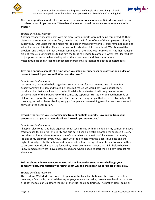



## **Give me a specific example of a time when a co-worker or classmate criticized your work in front of others. How did you respond? How has that event shaped the way you communicate with others?**

## *Sample excellent response:*

Another manager became upset with me since some projects were not being completed. Without discussing the situation with me first, she criticized me in front of one of the employees I directly supervised. I was upset that she made me look bad in front of my workers, but I remained calm and asked her to step into the office so that we could talk about it in more detail. We discussed the problem, and she learned that the non-completion of the tasks was not my fault. Another manager did not receive his instructions telling him the tasks he needed to complete. After that I learned not to jump to conclusions when dealing with others that I work and that sometimes a miscommunication can lead to a much larger problem. I've learned to get the complete facts.

## **Give me a specific example of a time when you sold your supervisor or professor on an idea or concept. How did you proceed? What was the result?**

## *Sample excellent response:*

Last summer, I wanted to help organize a summer camp for local low-income children. My supervisor knew the demand would be there but feared we would not have enough staff. I convinced her that since I went to the facility daily, I could network with acquaintances and convince them of the importance of this camp. My supervisor trusted me. We had hundreds of children sign up for the program, and I had reached so many people that we were able fully staff the camp, as well as have a backup supply of people who were willing to volunteer their time and services to the organization.

## **Describe the system you use for keeping track of multiple projects. How do you track your progress so that you can meet deadlines? How do you stay focused?**

## *Sample excellent response:*

I keep an electronic hand-held organizer that I synchronize with a schedule on my computer. I keep track of each task in order of priority and due date. I use an electronic organizer because it is very portable and has an alarm to remind me of about what is due so I don't have to waste time by looking at my organizer every hour. I start with the projects with the closest due date and the highest priority. I take these tasks and then schedule times in my calendar for me to work on them to ensure I meet deadlines. I stay focused by going over my organizer each night before bed so I know immediately what I have accomplished and where I need to start the next day. Here let me show you...

## **Tell me about a time when you came up with an innovative solution to a challenge your company/class/organization was facing. What was the challenge? What role did others play?**

#### *Sample excellent* response:

The trucks at Wal-Mart come loaded by personnel at by a distribution center, box-by-box. After receiving a few trucks, I noticed that my employees were unloading broken merchandise that took a lot of time to clean up before the rest of the truck could be finished. The broken glass, paint, or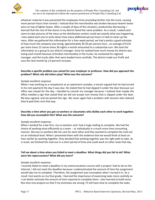



whatever material it was prevented the employees from preceding farther into the truck, causing more person-hours than normal. I noticed that the merchandise was broken because heavier boxes were on top of lighter boxes. After a couple of days of this situation, productivity decreasing, I learned that the rest of the stores in my district faced the same problem. As a result, I asked each store to take pictures of the mess so the distribution centers could see exactly what was happening. I also asked each one to write down how many additional person-hours it took to clean up the mess. After we gathered this information for a four-week period, we had a pretty a good estimate of how much the company was losing, approximately \$9.50 per person-hour...an average of \$125 per store times 15 stores times 30 nights a month amounted to a substantial sum. We took the information as a group to our district manager. Once he realized how much money his district was losing each month because of broken merchandise in the trucks, he contacted his regional manager, and the trucks after that were loaded more carefully. The district made our Profit and Loss the next month by a 9 percent increase.

## **Describe a specific problem you solved for your employer or professor. How did you approach the problem? What role did others play? What was the outcome?**

### *Sample* excellent *response:*

When I was working as a receptionist at an apartment complex, a tenant argued that he had turned in his rent payment the day it was due. He stated that he had slipped it under the door because our office was closed for the day. I decided to consult my manager because I realized that maybe the office needed a sign that stated that we did not accept rent money that is slipped under the door. My boss agreed, and we posted the sign. We never again had a problem with tenants who claimed they'd paid their rent that way.

## **Describe a time when you got co-workers or classmates who dislike each other to work together. How did you accomplish this? What was the outcome?**

#### Sample *excellent* response:

When I worked for a law firm, my co-workers and I had a huge mailing to complete. We had the choice of working more efficiently as a team -- or individually in a much more time-consuming manner. My two co-workers did not care for each other and they wanted to complete the mail-out on an individual level. When I presented them with the evidence that we would finish at least an hour earlier by working together, they decided that working together was the right path to take. As a result, we finished the mail-out in a short period of time and could work on other tasks that day.

## **Tell me about a time when you failed to meet a deadline. What things did you fail to do? What were the repercussions? What did you learn?**

## *Sample excellent response:*

I recently failed to meet a deadline in my communications course with a project I had to do on the Internet. I did not meet the deadline because I underestimated the amount of time the assignment would take me to complete. Therefore, the assignment was incomplete when I turned it in. As a result I lost points on my final grade. I learned the importance of examining tasks more carefully so I can better estimate the amount of time required to complete them. I also learned to build some flex time into projects so that if my estimates are wrong, I'll still have time to complete the tasks.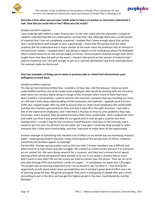



## **Describe a time when you put your needs aside to help a co-worker or classmate understand a task. How did you assist him or her? What was the result?**

#### *Sample excellent response:*

I was studying right before a major finance test. As the class came into the classroom a couple of students indicated that did not understand a concept that I did. Although there was a small section of material that I had not completely mastered, I realized that I knew enough about that section that I could perform well enough to earn a good grade. I knew that the section that the other students did not understand was a major portion of the exam since the professor had an interest in this particular subject. I stopped what I was doing to explain to the small group about the Multiplier Effect of Bank Reserves on the overall supply of money. Those students learned enough from what I taught them that they did well on the exam. I missed a few points on the section of material that I had not mastered, but I did well enough to get an A, and the satisfaction I got from teaching others the concept made me feel proud.

## **Give two examples of things you've done in previous jobs or school that demonstrate your willingness to work hard.**

### *Sample excellent response:*

The day we had inventory at Best Buy, I worked a 13-hour day. I did this because I knew we were understaffed and that a lot of the lower-level employees who would be working with the inventory team were very nervous about being in charge of the inventory when many of them had never done it before. Conveniently, I used to work for the inventory company that was handling our store, so I still had a fairly deep understanding of their processes and methods. I typically work 8-9 hour shifts, but I stayed longer after my shift to ensure that our lower-level employees felt comfortable and that the inventory got started on time and that it took off in the right direction. I met with a few of the lower-level employees, and I told them a few tips on how to solve problems they may encounter, and it worked; they all seemed to feel a little more comfortable. Then I walked the store and made sure that it was presentable for our guests and in case we got a surprise visit from headquarters. I couldn't stay for the inventory myself because I had class in the morning, and it would've put me over my 40 hours for the week, but I was glad I could stay long enough to make everyone feel a little more comfortable, and that I had time to make them all feel appreciated.

Another example of something that merited a lot of effort on my behalf was my marketing research paper. I enjoy group projects because I enjoy learning about the perspectives of others; however, sometimes the burdens appear to outweigh

the benefits. Having a group project such as this one with 5-6 team members was a difficult task when most of us had school and jobs to juggle. We created an online survey and sent it to everyone on our contact list. We were doing research for a museum, and they had a contact list of awardwinning artists whose perspectives they wanted us to use in our project. Anyone whose email didn't work or who didn't fill out the survey we tried to contact over the phone. Then we ran all of that data through SPSS and started to create our paper -- in completion our paper was 120 pages. The project was an amazing experience and I am so proud to say I've done it, I love having the opportunity to talk about what I have accomplished, but it merited a great deal of effort and a lot of learning along the way. My group was good; they were a solid group of people who were smart and willing to put in the time, and we got the highest grade in the class. *[contributed by Cynthia Buenger]*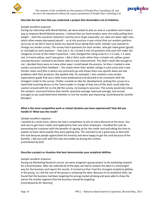



## **Describe the last time that you undertook a project that demanded a lot of initiative.**

### *Sample excellent response:*

During my internship with World Market, we were asked to pick an area or a problem and create a way to improve World Market process. I noticed that our food vendors were not really pulling their weight -- with the economic downturn and the price of gas especially, our sales are down right now, which often means decreased payroll -- so at this juncture it was critical that our vendors perform up to par so we don't have to waste our payroll hours doing their work. Initially I just wanted to change our vendor survey. The survey had 4 questions for each vendor, who got rated green (good) or red (bad) on each question -- that was it. So I turned it into 10 questions that each fell under the categories of one of the initial 4 questions. I also changed the rating scale to a 1-5 scale, 1-2 were red, 3-4 were yellow, and 5 was green. I did a Likert scale rather than a simple red, yellow, green concept because I wanted to be better able to track improvement. This didn't seem like enough to me; I decided there were so many other ways I could tweak the process. So then I created a new vendor scorecard (their feedback -- this shows them their weekly ratings in each area) and a new Vendor notes card (this is where any comments go and shows them any specific dates we had problems with their products, like spoiled milk, for example). I also created a new vendor expectations guide that was a little more professional and attuned to be consistent with the changed I made to the survey. Finally I created an idea for development, putting the survey on a hand-held scanning device so the Team Leader in charge of that area of the store could take the scanner around with her as she did the survey, increasing its accuracy. The survey would also show the vendors' scorecard history (last month, quarterly average, biannual average, and annual average) so we could determine whether or not the vendor was improving. [*contributed by Cynthia Buenger]*

## **What is the most competitive work or school situation you have experienced? How did you handle it? What was the result?**

#### *Sample excellent response:*

I worked at a retail store, where we had a competition to win an extra discount at the store. Our task was to get more credit-card applications than any other employee. I handled this task by presenting the customer with the benefits of signing up for the credit card and taking the time to explain to them what exactly they were getting into. This seemed to be a great way to deal with this task because people appreciated the honesty and were happy to get the card because of the benefits. I did very well with this task and ended up wining the contest. *[contributed by Kell]*

#### **Describe a project or situation that best demonstrates your analytical abilities.**

#### *Sample excellent response:*

During my Marketing Research course, we were assigned a group project to do marketing research for a local business. After we collected all of the data, we had to analyze the data in a meaningful way for the business and report the results. It turned out that I had the strongest analytical abilities in the group, so I led the rest of the group in analyzing the data. Because of my analytical skills, we found that the business had been targeting the wrong market all along and were able to show the owner the market segment that the business should be targeting. *[contributed by M. Kearney]*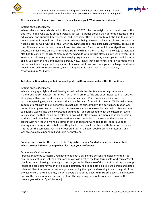



#### **Give an example of when you took a risk to achieve a goal. What was the outcome?**

#### *Sample excellent response:*

When I decided to study abroad in the spring of 2007, I had to weigh the pros and cons of the decision. People who study abroad typically get worse grades abroad than at home because of the educational and cultural differences, so Ihad to consider the risk to my GPA. I also had to consider how expensive it would be to live abroad without being allowed to have a job, so there was a financial risk as well. On top of this, when studying abroad at this particular university, because of the difference in education, I was allowed to take only 3 courses, which was significant to me because I already was on a strict schedule from switching majors so late in my college career. So I also had to consider the risk of cramming my schedule with difficult classes in my senior year. But I knew that this was going to be a life-changing experience that I may never get to participate in again. So I took the risk and studied abroad. Now, I have that experience, and it has made me a better candidate for places in my career. It shows that I can overcome great challenges and have been immersed into foreign culture, which is important in my career in the art industry. *[contributed by M. Kearney]*

#### **Tell about a time when you built rapport quickly with someone under difficult conditions.**

#### *Sample excellent response:*

While managing a high-end mall jewelry store in which the clientele are usually quite wellmannered and soft-spoken, I returned from a lunch break to find one of our newer sales associates struggling with an irate and somewhat irrational customer. Voices were escalating, with the customer spewing negative comments that could be heard from within the mall. While maintaining good relationships with our customers is a hallmark of our company, this particular situation was not ordinary by any means. I could tell the sales associate was in over his head with this encounter, so I quickly walked into the conversation-argument -- and proceeded to ask the customer several key questions so that I could both calm her down while also discovering more about her situation so that I could then defuse the confrontation and restore order in the store. In the process of talking with her, I found we had a common love of dogs and were able to talk about our dogs - sharing some funny stories -- before getting back to her specific problem with the store. In the end, it turns out the company that handles our credit card had been double-billing her account, and I was able to make a phone call and solve her problem.

## **Some people consider themselves to be "big picture people" and others are detail oriented. Which are you? Give an example hat illustrates your preference.**

#### *Sample excellent response:*

I believe that to be successful, you have to be both a big-picture person and detail oriented. You can't get caught up in just the details or you will lose sight of the long-term goals. And you can't get caught up in just looking at the big picture, or you will fail because of the lack of detail. As the group leader of a project for my marketing class, I definitely had to be both a big-picture person and detail oriented. I had to make sure that everyone was doing their part and working toward the goal of the project while, at the same time, checking every piece of the paper to make sure even the minuscule parts of the paper were correct and in place. Through using both skills, we earned an A on the project. *[contributed by M. Kearney]*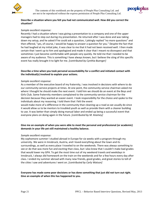



## **Describe a situation where you felt you had not communicated well. How did you correct the situation?**

## *Sample excellent response:*

Recently I had a situation where I was giving a presentation to a company and one of the upper managers had to step out during my presentation. He returned after I was done and was taking down my setup, and he asked if he could ask a question, I jokingly replied "no more questions" and then offered, "yes, of course, I would be happy to answer a question for you." Despite the fact that he had laughed at my initial joke, it was clear to me that it had not been received well. I then made certain that I went up to him and apologized and made it clear that I meant no disrespect and that sometimes I just become comfortable with people very quickly. He told me that I needed to be aware of my audience. This is something I have always known, but I believe the sting of this specific event has really brought it to light for me. *[contributed by Cynthia Buenger]*

## **Describe a time when you took personal accountability for a conflict and initiated contact with the individual(s) involved to explain your actions.**

## *Sample excellent response:*

As a member of the executive board of my fraternity, I was involved in decisions with where to do our community-service projects at times. At one point, the community-service chairman asked me where I thought he should make the next event. I told him we should do an event at the Boys and Girls Club. Some fraternity members complained to the community-service chairman for the decision because they wanted an easier event. I took responsibility for the choice and spoke to the individuals about my reasoning. I told them that I felt the event

would make more of a difference in the community than cleaning up a road as we usually do since it would allow us to be mentors to troubled youth as well as provide them with a cleaner building to use. It was better than simply doing manual labor and ended up being a successful event that everyone plans on doing again in the future*. [contributed by M. Keamey]*

## **Give me an example of when you were able to meet the personal and professional (or academic) demands in your life yet still maintained a healthy balance.**

## *Sample excellent response:*

My sophomore summer I studied abroad in Europe for six weeks with a program through my university. We were in Innsbruck, Austria, and I loved everything about the town and its surroundings, as well as every place I traveled to on the weekends. There was always something to see or do that was more fun and exciting than class, but I also knew that I couldn't make bad grades that would lower my GPA. To get the most time out of my weekend travels and weekdays in Innsbruck, I always did homework on the train on the weekends and for a few hours every day after class. I ended my summer abroad with many new friends, good grades, and great stories to tell of the cities I saw and adventures I went on. *[contributed by Carly Watson]*

## **Everyone has made some poor decisions or has done something that just did not turn out right. Give an example of when this has happened to you.**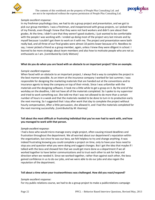



## *Sample excellent response:*

In my freshman psychology class, we had to do a group project and presentation, and we got to pick our group members. I was a freshman, and inexperienced with group projects, so I picked two of my friends, even though I knew that they were not hard workers and didn't care about their grades. At the time, I didn't care that they weren't good students, I just wanted to be comfortable with the people I was working with. I ended up doing most of the project very last minute and by myself because I couldn't get them to work on it with me. The project and presentation were both really bad, and all three of our final grades were almost 10 points lower because of it. Needless to say, I never picked a friend as a group member, again, unless I knew they were diligent in school. I learned to be more strategic about team members and also how to motivate people who are not as enthusiastic as I am. *[contributed by Carly Watson]*

### **What do you do when you are faced with an obstacle to an important project? Give an example.**

## *Sample excellent response:*

When faced with an obstacle to an important project, I always find a way to complete the project in the best manner possible. As an intern at the insurance company I worked for last summer, I was responsible for designing the marketing materials that are handed out at the conventions and to insurance agents to keep the company on top of their minds. Since I was unfamiliar with the materials and the designing software, it took me a little while to get a grasp on it. By the end of the workday on the deadline, I did not have all of the materials completed. So I spoke to my supervisor and tried to work something out. She told me that I was not allowed to do more than a certain number of hours in a week and that the materials needed to be done to turn in to production early the next morning. So I suggested that I stay after work that day to complete the project without hourly compensation. After a little persuasion, she allowed it, and I had the materials completed for the next morning successfully. *[contributed by M. Kearney]*

## **Tell about the most difficult or frustrating individual that you've ever had to work with, and how you managed to work with that person.**

## *Sample excellent response:*

I had a boss who would micro-manage every single project, often causing missed deadlines and frustration throughout the department. We all worried about our department's reputation within the organization, but since he was our boss, we felt helpless to try and change anything. It was indeed frustrating knowing you could complete a project on time, only to have your boss need to stop you and question what you were doing and suggest changes. But I got the idea that maybe if I talked with the boss and showed him that we could get more done as a department if we all worked together to have better communications and to trust each other to ask for help and direction when we needed it. Since we worked together, rather than against each other, the boss gained confidence in us to do our jobs, and we were able to do our jobs and also regain the reputetion of the department.

#### **Tell about a time when your trustworthiness was challenged. How did you react/respond?**

## *Sample excellent response:*

For my public-relations course, we had to do a group project to make a publicrelations campaign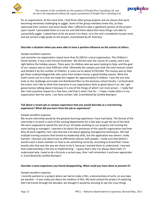



for an organization. At the same time, I had three other group projects and six classes that were becoming extremely challenging to juggle. Some of the group members knew this, so they expressed their concern and some doubt after I offered to take a significant portion of the project upon myself. I persuaded them to trust me and told them about the many things I am able to successfully juggle. I asked them to let me prove it to them, so in the end I completed my part early and we earned a high grade on the project. *[contributed by M. Kearney]*

### **Describe a situation when you were able to have a positive influence on the actions of others.**

### *Sample excellent response:*

Last semester my organization raised more than \$1,500 for a local organization, The Children's Home Society. It was a last-minute fundraiser. We did this over the course of a week, and it was right before the holiday season. There were 16 children who we were looking to help, and the goal of our campus was to raise \$200 per child. Ultimately the campus just took the total amount raised and divided it by the number of children; it came out to about \$179/child. This money was to help get these underprivileged kids who came from broken homes a good holiday season. What the math comes out to is that we made this happen for approximately 9 children. I was the one who took on this challenge and made and distributed fliers to the business-school faculty. I orchestrated the event, and I like to think that everyone in our organization feels as good about it as I do. I get goose bumps talking about it because it is one of the things of which I am most proud -- I really feel like I had a positive impact on a few lives, and that is what I live for -- I hope I made others in my organization feel the same. I am fairly certain I did. *[contributed by Cynthia Buenger]*

## **Tell about a recent job or campus experience that you would describe as a real learning experience? What did you learn from the job or experience?**

#### *Sample excellent response:*

My recent internship would be the greatest learning experience I have had lately. The format of the internship is to work in each of the varying departments for a few days to get the lay of the land. We were supposed to spend the rest of our 10 weeks working on our projects and running the store (acting as manager). I learned a lot about the processes of this specific organization and how they all work together, but I also learned a lot about applying management techniques. We had multiple training sessions that honed my leadership skills, but the application was where I really learned. I learned a lot about how to effectively interact with people. I made sure that before I would coach a team member on how to do something correctly, according to brand that I knew exactly why that was the way we chose to do it, because I wanted them to understand. I learned that understanding is the key to implementing -- I guess that's why I've always liked math, if I understand why I need to do a formula a certain way, then I will remember it and even appreciate it. *[contributed by Cynthia Buenger]*

#### **Describe a team experience you found disappointing. What could you have done to prevent it?**

#### *Sample excellent response:*

I recently worked on a project where we had to make a film, a documentary of sorts, on any topic we wanted -- it was really just about the medium of film. My team picked the project of exploring Diet Fad trends through the decades; we thought it would be amusing to see the crazy things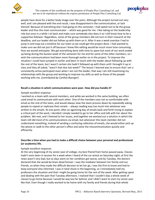



people have done for a better body image over the years. Although the project turned out very well, and I am pleased with the end result, I was disappointed in the communication, or lack thereof. Because of everything else I had going on this semester, I had opted not to be the group leader and thus the main communicator -- which was good for me. I like taking on the leadership role but once in a while I sit back and make sure somebody else does it so I still know how to be a supportive follower. Regardless, some of the group members did not turn in their research at the deadline, and our leader did not follow up with them on it. After it was a week overdue I had to jump in and map out a timeline for our team so we could get the project done. I had wanted to make sure we did not put it off because I knew film editing would be much more time consuming than we would anticipate. We got everything done with time to spare but most of our work ended up being during the busiest week of the semester for me and for some of the other members, so I wish the communications had been more thorough earlier on in the project. To improve the situation I could have jumped in earlier and been in touch with the leader about following up with the rest of the team, but I wasn't certain she hadn't followed up with them until I brought it up in class and they all asked, "wasn't that due last week?" The lesson I learned was to ensure that I am a consistently active participant even when I am not the leader; that way I am still maximizing my relationships with the group and working to improve my skills as well as those of the people working with me. *[contributed by Cynthia Buenger]*

### **Recall a situation in which communications were poor. How did you handle it?**

### *Sample excellent response:*

I worked on a team with several members, and while we worked in the same building, we often used email to communicate with each other. One of the members was not as comfortable with email as the rest of the team, and would always slow the team process down by repeatedly asking people to repeat or rephrase their emails -- always reading way too much into whatever was written in the emails. At one point, after an agonizing day of emails back and forth trying to explain a critical part of the work, I decided I simply needed to go to her office and talk with her about the problem. We met, and I listened to her issues, and together we worked out a solution in which the team still did most of its communications via email, but whenever this team member did not understand something, instead of sending a confusing collection of emails, she would either pick up the phone or walk to the other person's office and solve the miscommunication quickly and efficiently.

## **Describe a time when you had to make a difficult choice between your personal and professional (or academic) life.**

## Sample excellent response:

At the very beginning of my senior year of college, my best friend from home passed away. Classes hadn't even been in session for a week when I heard of the car wreck on Saturday night; at first the news wasn't very bad, but as days went on her condition got worse, and by Tuesday, the doctors declared that she would be brain dead forever. I was the mediator between her family and our friends, so when they made the difficult decision to let her go, I was the first to know and had to keep everyone else informed. I was in total shock in the beginning, so I immediately told my professors the situation and that I might be going home for the rest of the week. After getting upset and dealing with the pain that Tuesday afternoon, I realized that I couldn't skip a whole week of classes to go home because I would be way too far behind, and I didn't want to start my senior year like that. Even though I really wanted to be home with my family and friends during that whole